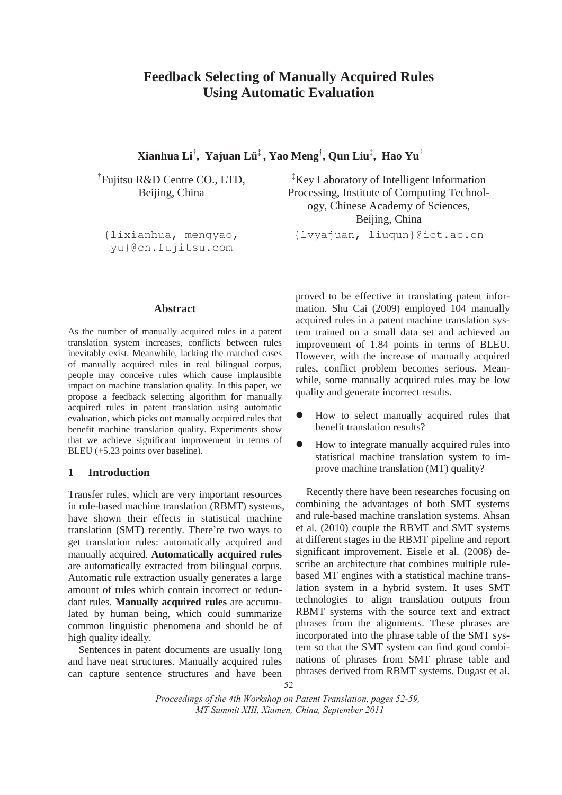# **Feedback Selecting of Manually Acquired Rules Using Automatic Evaluation**

**Xianhua Li**† **, Yajuan Lü**‡ **, Yao Meng**† **, Qun Liu**‡ **, Hao Yu**†

† Fujitsu R&D Centre CO., LTD, Beijing, China

{lixianhua, mengyao, vu}@cn.fujitsu.com

‡ Key Laboratory of Intelligent Information Processing, Institute of Computing Technology, Chinese Academy of Sciences, Beijing, China

{lvyajuan, liuqun}@ict.ac.cn

## **Abstract**

As the number of manually acquired rules in a patent translation system increases, conflicts between rules inevitably exist. Meanwhile, lacking the matched cases of manually acquired rules in real bilingual corpus, people may conceive rules which cause implausible impact on machine translation quality. In this paper, we propose a feedback selecting algorithm for manually acquired rules in patent translation using automatic evaluation, which picks out manually acquired rules that benefit machine translation quality. Experiments show that we achieve significant improvement in terms of BLEU (+5.23 points over baseline).

## **1 Introduction**

Transfer rules, which are very important resources in rule-based machine translation (RBMT) systems, have shown their effects in statistical machine translation (SMT) recently. There're two ways to get translation rules: automatically acquired and manually acquired. **Automatically acquired rules** are automatically extracted from bilingual corpus. Automatic rule extraction usually generates a large amount of rules which contain incorrect or redundant rules. **Manually acquired rules** are accumulated by human being, which could summarize common linguistic phenomena and should be of high quality ideally.

Sentences in patent documents are usually long and have neat structures. Manually acquired rules can capture sentence structures and have been

proved to be effective in translating patent information. Shu Cai (2009) employed 104 manually acquired rules in a patent machine translation system trained on a small data set and achieved an improvement of 1.84 points in terms of BLEU. However, with the increase of manually acquired rules, conflict problem becomes serious. Meanwhile, some manually acquired rules may be low quality and generate incorrect results.

- How to select manually acquired rules that benefit translation results?
- How to integrate manually acquired rules into statistical machine translation system to improve machine translation (MT) quality?

Recently there have been researches focusing on combining the advantages of both SMT systems and rule-based machine translation systems. Ahsan et al. (2010) couple the RBMT and SMT systems at different stages in the RBMT pipeline and report significant improvement. Eisele et al. (2008) describe an architecture that combines multiple rulebased MT engines with a statistical machine translation system in a hybrid system. It uses SMT technologies to align translation outputs from RBMT systems with the source text and extract phrases from the alignments. These phrases are incorporated into the phrase table of the SMT system so that the SMT system can find good combinations of phrases from SMT phrase table and phrases derived from RBMT systems. Dugast et al.

*Proceedings of the 4th Workshop on Patent Translation, pages 52-59, MT Summit XIII, Xiamen, China, September 2011*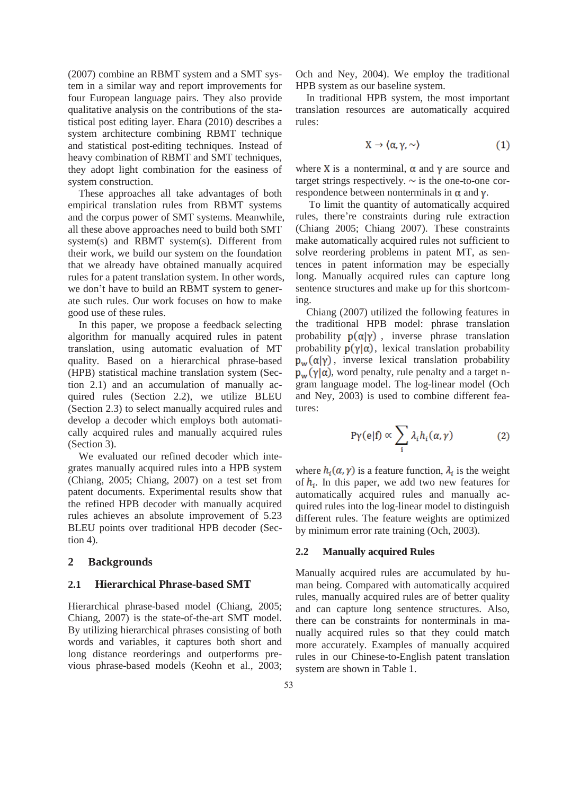(2007) combine an RBMT system and a SMT system in a similar way and report improvements for four European language pairs. They also provide qualitative analysis on the contributions of the statistical post editing layer. Ehara (2010) describes a system architecture combining RBMT technique and statistical post-editing techniques. Instead of heavy combination of RBMT and SMT techniques, they adopt light combination for the easiness of system construction.

These approaches all take advantages of both empirical translation rules from RBMT systems and the corpus power of SMT systems. Meanwhile, all these above approaches need to build both SMT system(s) and RBMT system(s). Different from their work, we build our system on the foundation that we already have obtained manually acquired rules for a patent translation system. In other words, we don't have to build an RBMT system to generate such rules. Our work focuses on how to make good use of these rules.

In this paper, we propose a feedback selecting algorithm for manually acquired rules in patent translation, using automatic evaluation of MT quality. Based on a hierarchical phrase-based (HPB) statistical machine translation system (Section 2.1) and an accumulation of manually acquired rules (Section 2.2), we utilize BLEU (Section 2.3) to select manually acquired rules and develop a decoder which employs both automatically acquired rules and manually acquired rules (Section 3).

We evaluated our refined decoder which integrates manually acquired rules into a HPB system (Chiang, 2005; Chiang, 2007) on a test set from patent documents. Experimental results show that the refined HPB decoder with manually acquired rules achieves an absolute improvement of 5.23 BLEU points over traditional HPB decoder (Section 4).

## **2 Backgrounds**

## **2.1 Hierarchical Phrase-based SMT**

Hierarchical phrase-based model (Chiang, 2005; Chiang, 2007) is the state-of-the-art SMT model. By utilizing hierarchical phrases consisting of both words and variables, it captures both short and long distance reorderings and outperforms previous phrase-based models (Keohn et al., 2003;

Och and Ney, 2004). We employ the traditional HPB system as our baseline system.

In traditional HPB system, the most important translation resources are automatically acquired rules:

$$
X \to \langle \alpha, \gamma, \sim \rangle \tag{1}
$$

where X is a nonterminal,  $\alpha$  and  $\gamma$  are source and target strings respectively.  $\sim$  is the one-to-one correspondence between nonterminals in  $\alpha$  and  $\gamma$ .

To limit the quantity of automatically acquired rules, there're constraints during rule extraction (Chiang 2005; Chiang 2007). These constraints make automatically acquired rules not sufficient to solve reordering problems in patent MT, as sentences in patent information may be especially long. Manually acquired rules can capture long sentence structures and make up for this shortcoming.

Chiang (2007) utilized the following features in the traditional HPB model: phrase translation probability  $p(\alpha|\gamma)$ , inverse phrase translation probability  $p(\gamma|\alpha)$ , lexical translation probability  $p_w(\alpha|\gamma)$ , inverse lexical translation probability  $p_w(\gamma|\alpha)$ , word penalty, rule penalty and a target ngram language model. The log-linear model (Och and Ney, 2003) is used to combine different features:

$$
P\gamma(e|f) \propto \sum_{i} \lambda_i h_i(\alpha, \gamma) \tag{2}
$$

where  $h_i(\alpha, \gamma)$  is a feature function,  $\lambda_i$  is the weight of  $h_i$ . In this paper, we add two new features for automatically acquired rules and manually acquired rules into the log-linear model to distinguish different rules. The feature weights are optimized by minimum error rate training (Och, 2003).

## **2.2 Manually acquired Rules**

Manually acquired rules are accumulated by human being. Compared with automatically acquired rules, manually acquired rules are of better quality and can capture long sentence structures. Also, there can be constraints for nonterminals in manually acquired rules so that they could match more accurately. Examples of manually acquired rules in our Chinese-to-English patent translation system are shown in Table 1.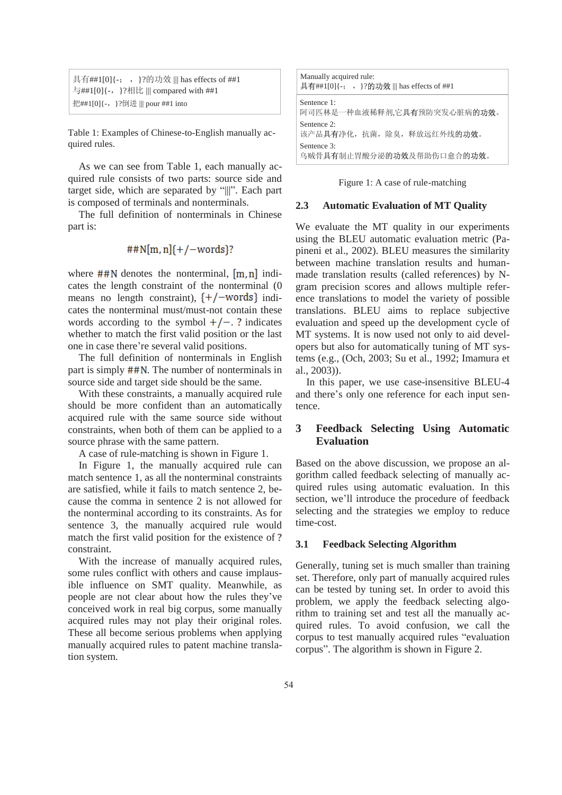|                                   | 具有##1[0]{-; , }?的功效     has effects of ##1 |
|-----------------------------------|--------------------------------------------|
|                                   | 与##1[0]{-, }?相比     compared with ##1      |
| 把##1[0]{-, }?倒进     pour ##1 into |                                            |

Table 1: Examples of Chinese-to-English manually acquired rules.

As we can see from Table 1, each manually acquired rule consists of two parts: source side and target side, which are separated by "|||". Each part is composed of terminals and nonterminals.

The full definition of nonterminals in Chinese part is:

$$
#W[m,n]{+}/\text{-words}
$$
?

where  $\#$ #N denotes the nonterminal,  $[m,n]$  indicates the length constraint of the nonterminal (0 means no length constraint),  $\{+/-words\}$  indicates the nonterminal must/must-not contain these words according to the symbol  $+/-$ . ? indicates whether to match the first valid position or the last one in case there're several valid positions.

The full definition of nonterminals in English part is simply  $\#$ #N. The number of nonterminals in source side and target side should be the same.

With these constraints, a manually acquired rule should be more confident than an automatically acquired rule with the same source side without constraints, when both of them can be applied to a source phrase with the same pattern.

A case of rule-matching is shown in Figure 1.

In Figure 1, the manually acquired rule can match sentence 1, as all the nonterminal constraints are satisfied, while it fails to match sentence 2, because the comma in sentence 2 is not allowed for the nonterminal according to its constraints. As for sentence 3, the manually acquired rule would match the first valid position for the existence of? constraint.

With the increase of manually acquired rules, some rules conflict with others and cause implausible influence on SMT quality. Meanwhile, as people are not clear about how the rules they've conceived work in real big corpus, some manually acquired rules may not play their original roles. These all become serious problems when applying manually acquired rules to patent machine translation system.

| Manually acquired rule:<br>具有##1[0]{-; , }?的功效     has effects of ##1 |  |  |  |  |
|-----------------------------------------------------------------------|--|--|--|--|
| Sentence 1:<br>阿司匹林是一种血液稀释剂,它 <b>具有</b> 预防突发心脏病 <b>的功效</b> 。          |  |  |  |  |
| Sentence 2:<br>该产品具有净化, 抗菌, 除臭, 释放远红外线的功效。                            |  |  |  |  |
| Sentence 3:<br>乌贼骨具有制止胃酸分泌的功效及帮助伤口愈合的功效。                              |  |  |  |  |

Figure 1: A case of rule-matching

#### **2.3 Automatic Evaluation of MT Quality**

We evaluate the MT quality in our experiments using the BLEU automatic evaluation metric (Papineni et al., 2002). BLEU measures the similarity between machine translation results and humanmade translation results (called references) by Ngram precision scores and allows multiple reference translations to model the variety of possible translations. BLEU aims to replace subjective evaluation and speed up the development cycle of MT systems. It is now used not only to aid developers but also for automatically tuning of MT systems (e.g., (Och, 2003; Su et al., 1992; Imamura et al., 2003)).

In this paper, we use case-insensitive BLEU-4 and there's only one reference for each input sentence.

# **3 Feedback Selecting Using Automatic Evaluation**

Based on the above discussion, we propose an algorithm called feedback selecting of manually acquired rules using automatic evaluation. In this section, we'll introduce the procedure of feedback selecting and the strategies we employ to reduce time-cost.

## **3.1 Feedback Selecting Algorithm**

Generally, tuning set is much smaller than training set. Therefore, only part of manually acquired rules can be tested by tuning set. In order to avoid this problem, we apply the feedback selecting algorithm to training set and test all the manually acquired rules. To avoid confusion, we call the corpus to test manually acquired rules "evaluation corpus". The algorithm is shown in Figure 2.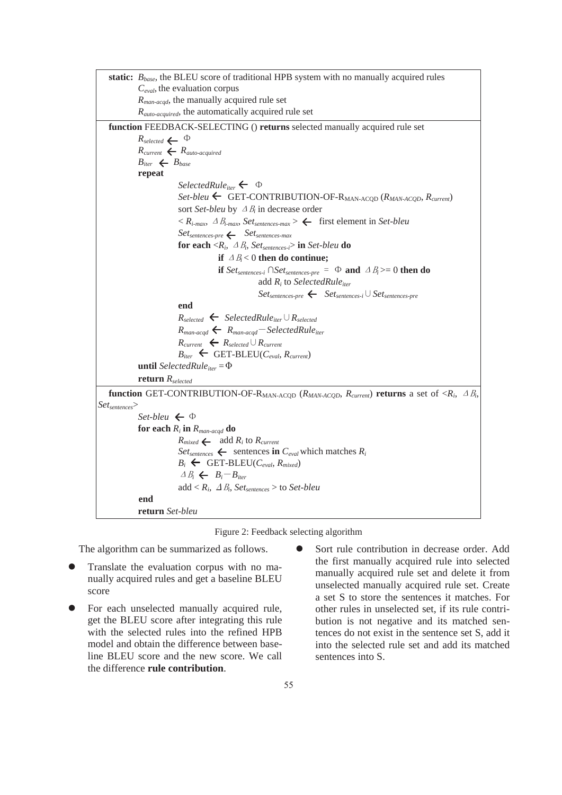



The algorithm can be summarized as follows.

- Translate the evaluation corpus with no manually acquired rules and get a baseline BLEU score
- For each unselected manually acquired rule, get the BLEU score after integrating this rule with the selected rules into the refined HPB model and obtain the difference between baseline BLEU score and the new score. We call the difference **rule contribution**.
- Sort rule contribution in decrease order. Add the first manually acquired rule into selected manually acquired rule set and delete it from unselected manually acquired rule set. Create a set S to store the sentences it matches. For other rules in unselected set, if its rule contribution is not negative and its matched sentences do not exist in the sentence set S, add it into the selected rule set and add its matched sentences into S.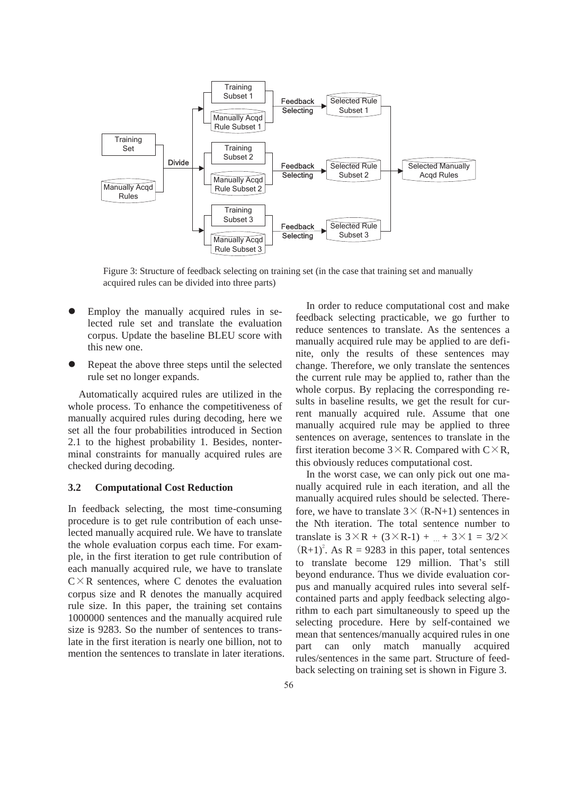

Figure 3: Structure of feedback selecting on training set (in the case that training set and manually acquired rules can be divided into three parts)

- Employ the manually acquired rules in selected rule set and translate the evaluation corpus. Update the baseline BLEU score with this new one.
- Repeat the above three steps until the selected rule set no longer expands.

Automatically acquired rules are utilized in the whole process. To enhance the competitiveness of manually acquired rules during decoding, here we set all the four probabilities introduced in Section 2.1 to the highest probability 1. Besides, nonterminal constraints for manually acquired rules are checked during decoding.

#### **3.2 Computational Cost Reduction**

In feedback selecting, the most time-consuming procedure is to get rule contribution of each unselected manually acquired rule. We have to translate the whole evaluation corpus each time. For example, in the first iteration to get rule contribution of each manually acquired rule, we have to translate  $C \times R$  sentences, where C denotes the evaluation corpus size and R denotes the manually acquired rule size. In this paper, the training set contains 1000000 sentences and the manually acquired rule size is 9283. So the number of sentences to translate in the first iteration is nearly one billion, not to mention the sentences to translate in later iterations.

In order to reduce computational cost and make feedback selecting practicable, we go further to reduce sentences to translate. As the sentences a manually acquired rule may be applied to are definite, only the results of these sentences may change. Therefore, we only translate the sentences the current rule may be applied to, rather than the whole corpus. By replacing the corresponding results in baseline results, we get the result for current manually acquired rule. Assume that one manually acquired rule may be applied to three sentences on average, sentences to translate in the first iteration become  $3 \times R$ . Compared with  $C \times R$ , this obviously reduces computational cost.

In the worst case, we can only pick out one manually acquired rule in each iteration, and all the manually acquired rules should be selected. Therefore, we have to translate  $3 \times (R-N+1)$  sentences in the Nth iteration. The total sentence number to translate is  $3\times R + (3\times R-1) + ... + 3\times 1 = 3/2\times$  $(R+1)^2$ . As R = 9283 in this paper, total sentences to translate become 129 million. That's still beyond endurance. Thus we divide evaluation corpus and manually acquired rules into several selfcontained parts and apply feedback selecting algorithm to each part simultaneously to speed up the selecting procedure. Here by self-contained we mean that sentences/manually acquired rules in one part can only match manually acquired rules/sentences in the same part. Structure of feedback selecting on training set is shown in Figure 3.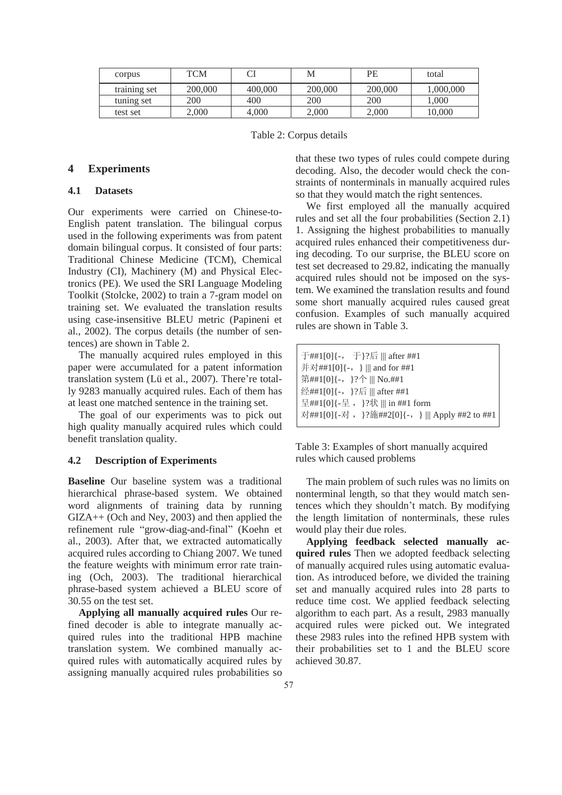| corpus       | TCM     |         | М       | PE      | total    |
|--------------|---------|---------|---------|---------|----------|
| training set | 200,000 | 400,000 | 200,000 | 200,000 | .000.000 |
| tuning set   | 200     | 400     | 200     | 200     | 000,     |
| test set     | 2.000   | 4.000   | 2.000   | 2,000   | 10.000   |

Table 2: Corpus details

## **4 Experiments**

# **4.1 Datasets**

Our experiments were carried on Chinese-to-English patent translation. The bilingual corpus used in the following experiments was from patent domain bilingual corpus. It consisted of four parts: Traditional Chinese Medicine (TCM), Chemical Industry (CI), Machinery (M) and Physical Electronics (PE). We used the SRI Language Modeling Toolkit (Stolcke, 2002) to train a 7-gram model on training set. We evaluated the translation results using case-insensitive BLEU metric (Papineni et al., 2002). The corpus details (the number of sentences) are shown in Table 2.

The manually acquired rules employed in this paper were accumulated for a patent information translation system (Lü et al., 2007). There're totally 9283 manually acquired rules. Each of them has at least one matched sentence in the training set.

The goal of our experiments was to pick out high quality manually acquired rules which could benefit translation quality.

#### **4.2 Description of Experiments**

**Baseline** Our baseline system was a traditional hierarchical phrase-based system. We obtained word alignments of training data by running GIZA++ (Och and Ney, 2003) and then applied the refinement rule "grow-diag-and-final" (Koehn et al., 2003). After that, we extracted automatically acquired rules according to Chiang 2007. We tuned the feature weights with minimum error rate training (Och, 2003). The traditional hierarchical phrase-based system achieved a BLEU score of 30.55 on the test set.

**Applying all manually acquired rules** Our refined decoder is able to integrate manually acquired rules into the traditional HPB machine translation system. We combined manually acquired rules with automatically acquired rules by assigning manually acquired rules probabilities so that these two types of rules could compete during decoding. Also, the decoder would check the constraints of nonterminals in manually acquired rules so that they would match the right sentences.

We first employed all the manually acquired rules and set all the four probabilities (Section 2.1) 1. Assigning the highest probabilities to manually acquired rules enhanced their competitiveness during decoding. To our surprise, the BLEU score on test set decreased to 29.82, indicating the manually acquired rules should not be imposed on the system. We examined the translation results and found some short manually acquired rules caused great confusion. Examples of such manually acquired rules are shown in Table 3.

| 于##1[0]{-, 于}?后     after ##1                   |  |  |  |  |  |
|-------------------------------------------------|--|--|--|--|--|
| 并对##1[0]{-, }     and for ##1                   |  |  |  |  |  |
| 第##1[0]{-, }?个     No.##1                       |  |  |  |  |  |
| 经##1[0]{-, }?后     after ##1                    |  |  |  |  |  |
| 呈##1[0]{-呈, }?状    in ##1 form                  |  |  |  |  |  |
| 对##1[0]{-对, }?施##2[0]{-, }     Apply ##2 to ##1 |  |  |  |  |  |

Table 3: Examples of short manually acquired rules which caused problems

The main problem of such rules was no limits on nonterminal length, so that they would match sentences which they shouldn't match. By modifying the length limitation of nonterminals, these rules would play their due roles.

**Applying feedback selected manually acquired rules** Then we adopted feedback selecting of manually acquired rules using automatic evaluation. As introduced before, we divided the training set and manually acquired rules into 28 parts to reduce time cost. We applied feedback selecting algorithm to each part. As a result, 2983 manually acquired rules were picked out. We integrated these 2983 rules into the refined HPB system with their probabilities set to 1 and the BLEU score achieved 30.87.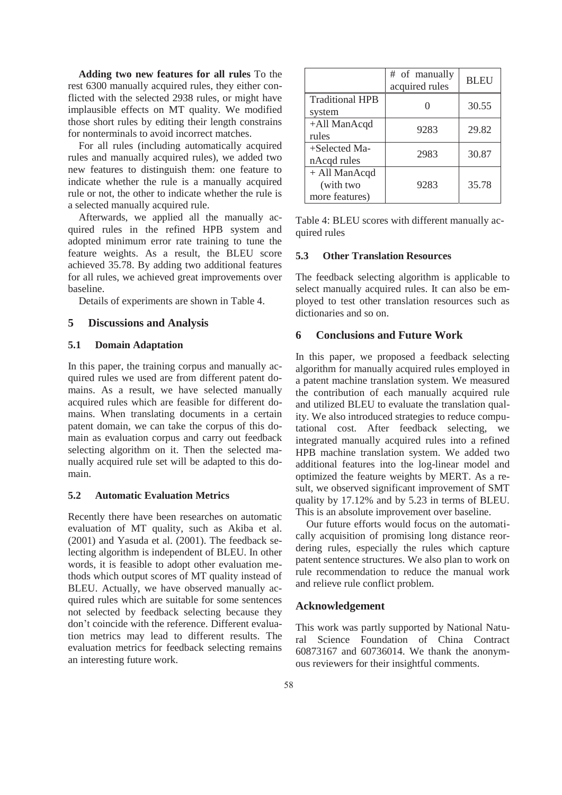**Adding two new features for all rules** To the rest 6300 manually acquired rules, they either conflicted with the selected 2938 rules, or might have implausible effects on MT quality. We modified those short rules by editing their length constrains for nonterminals to avoid incorrect matches.

For all rules (including automatically acquired rules and manually acquired rules), we added two new features to distinguish them: one feature to indicate whether the rule is a manually acquired rule or not, the other to indicate whether the rule is a selected manually acquired rule.

Afterwards, we applied all the manually acquired rules in the refined HPB system and adopted minimum error rate training to tune the feature weights. As a result, the BLEU score achieved 35.78. By adding two additional features for all rules, we achieved great improvements over baseline.

Details of experiments are shown in Table 4.

#### **5 Discussions and Analysis**

## **5.1 Domain Adaptation**

In this paper, the training corpus and manually acquired rules we used are from different patent domains. As a result, we have selected manually acquired rules which are feasible for different domains. When translating documents in a certain patent domain, we can take the corpus of this domain as evaluation corpus and carry out feedback selecting algorithm on it. Then the selected manually acquired rule set will be adapted to this domain.

#### **5.2 Automatic Evaluation Metrics**

Recently there have been researches on automatic evaluation of MT quality, such as Akiba et al. (2001) and Yasuda et al. (2001). The feedback selecting algorithm is independent of BLEU. In other words, it is feasible to adopt other evaluation methods which output scores of MT quality instead of BLEU. Actually, we have observed manually acquired rules which are suitable for some sentences not selected by feedback selecting because they don't coincide with the reference. Different evaluation metrics may lead to different results. The evaluation metrics for feedback selecting remains an interesting future work.

|                                              | # of manually<br>acquired rules | <b>BLEU</b> |
|----------------------------------------------|---------------------------------|-------------|
| <b>Traditional HPB</b><br>system             |                                 | 30.55       |
| +All ManAcqd<br>rules                        | 9283                            | 29.82       |
| +Selected Ma-<br>nAcqd rules                 | 2983                            | 30.87       |
| + All ManAcqd<br>(with two<br>more features) | 9283                            | 35.78       |

Table 4: BLEU scores with different manually acquired rules

## **5.3 Other Translation Resources**

The feedback selecting algorithm is applicable to select manually acquired rules. It can also be employed to test other translation resources such as dictionaries and so on.

## **6 Conclusions and Future Work**

In this paper, we proposed a feedback selecting algorithm for manually acquired rules employed in a patent machine translation system. We measured the contribution of each manually acquired rule and utilized BLEU to evaluate the translation quality. We also introduced strategies to reduce computational cost. After feedback selecting, we integrated manually acquired rules into a refined HPB machine translation system. We added two additional features into the log-linear model and optimized the feature weights by MERT. As a result, we observed significant improvement of SMT quality by 17.12% and by 5.23 in terms of BLEU. This is an absolute improvement over baseline.

Our future efforts would focus on the automatically acquisition of promising long distance reordering rules, especially the rules which capture patent sentence structures. We also plan to work on rule recommendation to reduce the manual work and relieve rule conflict problem.

## **Acknowledgement**

This work was partly supported by National Natural Science Foundation of China Contract 60873167 and 60736014. We thank the anonymous reviewers for their insightful comments.